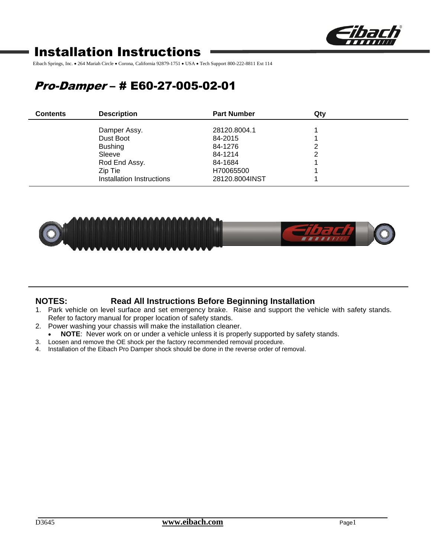

# Installation Instructions

Eibach Springs, Inc. • 264 Mariah Circle • Corona, California 92879-1751 • USA • Tech Support 800-222-8811 Ext 114

# Pro-Damper – # E60-27-005-02-01

| <b>Contents</b> | <b>Description</b>        | <b>Part Number</b> | Qtv |
|-----------------|---------------------------|--------------------|-----|
|                 | Damper Assy.              | 28120.8004.1       |     |
|                 | Dust Boot                 | 84-2015            |     |
|                 | <b>Bushing</b>            | 84-1276            |     |
|                 | Sleeve                    | 84-1214            |     |
|                 | Rod End Assy.             | 84-1684            |     |
|                 | Zip Tie                   | H70065500          |     |
|                 | Installation Instructions | 28120.8004INST     |     |



## **NOTES: Read All Instructions Before Beginning Installation**

- 1. Park vehicle on level surface and set emergency brake. Raise and support the vehicle with safety stands. Refer to factory manual for proper location of safety stands.
- 2. Power washing your chassis will make the installation cleaner.
- **NOTE**: Never work on or under a vehicle unless it is properly supported by safety stands.
- 3. Loosen and remove the OE shock per the factory recommended removal procedure.
- 4. Installation of the Eibach Pro Damper shock should be done in the reverse order of removal.